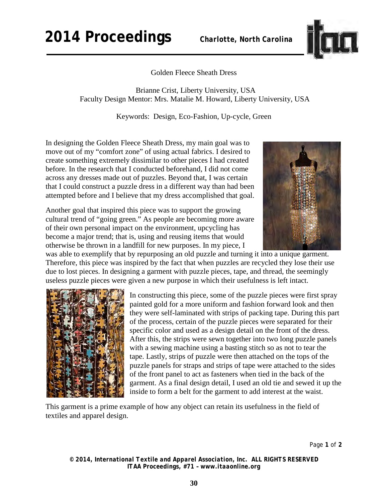**2014 Proceedings** *Charlotte, North Carolina*



Golden Fleece Sheath Dress

 Brianne Crist, Liberty University, USA Faculty Design Mentor: Mrs. Matalie M. Howard, Liberty University, USA

Keywords: Design, Eco-Fashion, Up-cycle, Green

In designing the Golden Fleece Sheath Dress, my main goal was to move out of my "comfort zone" of using actual fabrics. I desired to create something extremely dissimilar to other pieces I had created before. In the research that I conducted beforehand, I did not come across any dresses made out of puzzles. Beyond that, I was certain that I could construct a puzzle dress in a different way than had been attempted before and I believe that my dress accomplished that goal.

Another goal that inspired this piece was to support the growing cultural trend of "going green." As people are becoming more aware of their own personal impact on the environment, upcycling has become a major trend; that is, using and reusing items that would otherwise be thrown in a landfill for new purposes. In my piece, I



was able to exemplify that by repurposing an old puzzle and turning it into a unique garment. Therefore, this piece was inspired by the fact that when puzzles are recycled they lose their use due to lost pieces. In designing a garment with puzzle pieces, tape, and thread, the seemingly useless puzzle pieces were given a new purpose in which their usefulness is left intact.



In constructing this piece, some of the puzzle pieces were first spray painted gold for a more uniform and fashion forward look and then they were self-laminated with strips of packing tape. During this part of the process, certain of the puzzle pieces were separated for their specific color and used as a design detail on the front of the dress. After this, the strips were sewn together into two long puzzle panels with a sewing machine using a basting stitch so as not to tear the tape. Lastly, strips of puzzle were then attached on the tops of the puzzle panels for straps and strips of tape were attached to the sides of the front panel to act as fasteners when tied in the back of the garment. As a final design detail, I used an old tie and sewed it up the inside to form a belt for the garment to add interest at the waist.

This garment is a prime example of how any object can retain its usefulness in the field of textiles and apparel design.

Page **1** of **2** 

*© 2014, International Textile and Apparel Association, Inc. ALL RIGHTS RESERVED ITAA Proceedings, #71 – www.itaaonline.org*